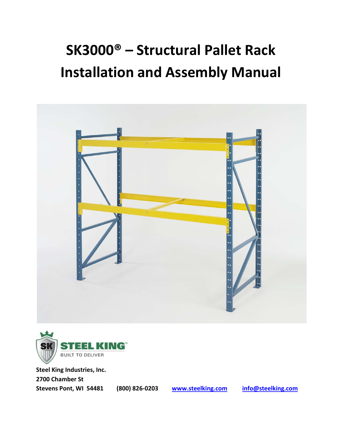# **SK3000® – Structural Pallet Rack Installation and Assembly Manual**





**Steel King Industries, Inc. 2700 Chamber St Stevens Pont, WI 54481 (800) 826‐0203 www.steelking.com info@steelking.com**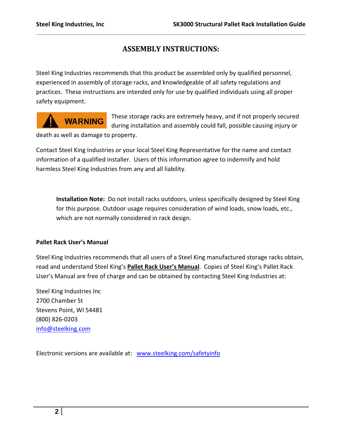# **ASSEMBLY INSTRUCTIONS:**

Steel King Industries recommends that this product be assembled only by qualified personnel, experienced in assembly of storage racks, and knowledgeable of all safety regulations and practices. These instructions are intended only for use by qualified individuals using all proper safety equipment.

# **WARNING**

These storage racks are extremely heavy, and if not properly secured during installation and assembly could fall, possible causing injury or

death as well as damage to property.

Contact Steel King Industries or your local Steel King Representative for the name and contact information of a qualified installer. Users of this information agree to indemnify and hold harmless Steel King Industries from any and all liability.

**Installation Note:** Do not install racks outdoors, unless specifically designed by Steel King for this purpose. Outdoor usage requires consideration of wind loads, snow loads, etc., which are not normally considered in rack design.

#### **Pallet Rack User's Manual**

Steel King Industries recommends that all users of a Steel King manufactured storage racks obtain, read and understand Steel King's **Pallet Rack User's Manual**. Copies of Steel King's Pallet Rack User's Manual are free of charge and can be obtained by contacting Steel King Industries at:

Steel King Industries Inc 2700 Chamber St Stevens Point, WI 54481 (800) 826‐0203 info@steelking.com

Electronic versions are available at: www.steelking.com/safetyinfo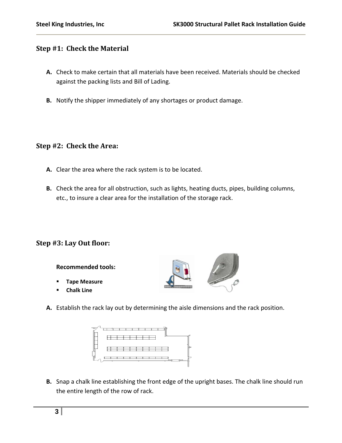## **Step #1: Check the Material**

- **A.** Check to make certain that all materials have been received. Materials should be checked against the packing lists and Bill of Lading.
- **B.** Notify the shipper immediately of any shortages or product damage.

#### **Step #2: Check the Area:**

- **A.** Clear the area where the rack system is to be located.
- **B.** Check the area for all obstruction, such as lights, heating ducts, pipes, building columns, etc., to insure a clear area for the installation of the storage rack.

# **Step #3: Lay Out floor:**

**Recommended tools:**

- **Tape Measure**
- **Chalk Line**



**A.** Establish the rack lay out by determining the aisle dimensions and the rack position.



**B.** Snap a chalk line establishing the front edge of the upright bases. The chalk line should run the entire length of the row of rack.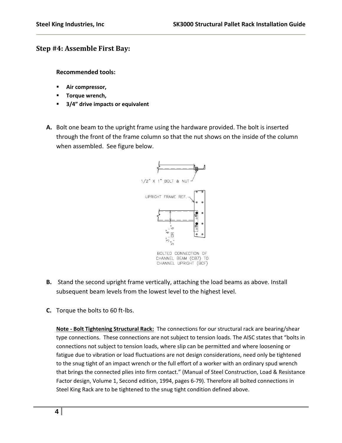## **Step #4: Assemble First Bay:**

**Recommended tools:**

- **Air compressor,**
- **Torque wrench,**
- **3/4" drive impacts or equivalent**
- **A.** Bolt one beam to the upright frame using the hardware provided. The bolt is inserted through the front of the frame column so that the nut shows on the inside of the column when assembled. See figure below.



CHANNEL UPRIGHT (BCF)

- **B.** Stand the second upright frame vertically, attaching the load beams as above. Install subsequent beam levels from the lowest level to the highest level.
- **C.** Torque the bolts to 60 ft‐lbs.

**Note ‐ Bolt Tightening Structural Rack:** The connections for our structural rack are bearing/shear type connections. These connections are not subject to tension loads. The AISC states that "bolts in connections not subject to tension loads, where slip can be permitted and where loosening or fatigue due to vibration or load fluctuations are not design considerations, need only be tightened to the snug tight of an impact wrench or the full effort of a worker with an ordinary spud wrench that brings the connected plies into firm contact." (Manual of Steel Construction, Load & Resistance Factor design, Volume 1, Second edition, 1994, pages 6‐79). Therefore all bolted connections in Steel King Rack are to be tightened to the snug tight condition defined above.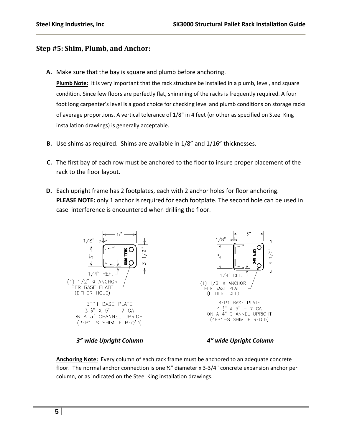#### **Step #5: Shim, Plumb, and Anchor:**

**A.** Make sure that the bay is square and plumb before anchoring.

Plumb Note: It is very important that the rack structure be installed in a plumb, level, and square condition. Since few floors are perfectly flat, shimming of the racks is frequently required. A four foot long carpenter's level is a good choice for checking level and plumb conditions on storage racks of average proportions. A vertical tolerance of 1/8" in 4 feet (or other as specified on Steel King installation drawings) is generally acceptable.

- **B.** Use shims as required. Shims are available in 1/8" and 1/16" thicknesses.
- **C.** The first bay of each row must be anchored to the floor to insure proper placement of the rack to the floor layout.
- **D.** Each upright frame has 2 footplates, each with 2 anchor holes for floor anchoring. **PLEASE NOTE:** only 1 anchor is required for each footplate. The second hole can be used in case interference is encountered when drilling the floor.



#### *3" wide Upright Column 4" wide Upright Column*

**Anchoring Note:** Every column of each rack frame must be anchored to an adequate concrete floor. The normal anchor connection is one ½" diameter x 3‐3/4" concrete expansion anchor per column, or as indicated on the Steel King installation drawings.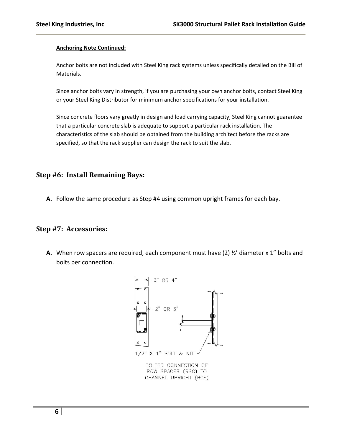#### **Anchoring Note Continued:**

Anchor bolts are not included with Steel King rack systems unless specifically detailed on the Bill of Materials.

Since anchor bolts vary in strength, if you are purchasing your own anchor bolts, contact Steel King or your Steel King Distributor for minimum anchor specifications for your installation.

Since concrete floors vary greatly in design and load carrying capacity, Steel King cannot guarantee that a particular concrete slab is adequate to support a particular rack installation. The characteristics of the slab should be obtained from the building architect before the racks are specified, so that the rack supplier can design the rack to suit the slab.

#### **Step #6: Install Remaining Bays:**

**A.** Follow the same procedure as Step #4 using common upright frames for each bay.

#### **Step #7: Accessories:**

**A.** When row spacers are required, each component must have (2) ½' diameter x 1" bolts and bolts per connection.

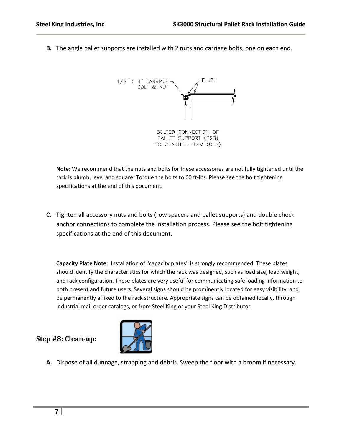**B.** The angle pallet supports are installed with 2 nuts and carriage bolts, one on each end.



**Note:** We recommend that the nuts and bolts for these accessories are not fully tightened until the rack is plumb, level and square. Torque the bolts to 60 ft-lbs. Please see the bolt tightening specifications at the end of this document.

**C.** Tighten all accessory nuts and bolts (row spacers and pallet supports) and double check anchor connections to complete the installation process. Please see the bolt tightening specifications at the end of this document.

**Capacity Plate Note**: Installation of "capacity plates" is strongly recommended. These plates should identify the characteristics for which the rack was designed, such as load size, load weight, and rack configuration. These plates are very useful for communicating safe loading information to both present and future users. Several signs should be prominently located for easy visibility, and be permanently affixed to the rack structure. Appropriate signs can be obtained locally, through industrial mail order catalogs, or from Steel King or your Steel King Distributor.

**Step #8: Cleanup:**



**A.** Dispose of all dunnage, strapping and debris. Sweep the floor with a broom if necessary.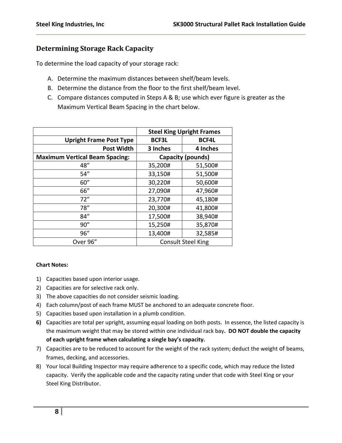## **Determining Storage Rack Capacity**

To determine the load capacity of your storage rack:

- A. Determine the maximum distances between shelf/beam levels.
- B. Determine the distance from the floor to the first shelf/beam level.
- C. Compare distances computed in Steps A & B; use which ever figure is greater as the Maximum Vertical Beam Spacing in the chart below.

|                                       | <b>Steel King Upright Frames</b> |              |
|---------------------------------------|----------------------------------|--------------|
| <b>Upright Frame Post Type</b>        | <b>BCF3L</b>                     | <b>BCF4L</b> |
| <b>Post Width</b>                     | 3 Inches                         | 4 Inches     |
| <b>Maximum Vertical Beam Spacing:</b> | Capacity (pounds)                |              |
| 48"                                   | 35,200#                          | 51,500#      |
| 54''                                  | 33,150#                          | 51,500#      |
| 60''                                  | 30,220#                          | 50,600#      |
| 66"                                   | 27,090#                          | 47,960#      |
| 72"                                   | 23,770#                          | 45,180#      |
| 78''                                  | 20,300#                          | 41,800#      |
| 84''                                  | 17,500#                          | 38,940#      |
| 90''                                  | 15,250#                          | 35,870#      |
| 96"                                   | 13,400#                          | 32,585#      |
| Over 96"                              | <b>Consult Steel King</b>        |              |

#### **Chart Notes:**

- 1) Capacities based upon interior usage.
- 2) Capacities are for selective rack only.
- 3) The above capacities do not consider seismic loading.
- 4) Each column/post of each frame MUST be anchored to an adequate concrete floor.
- 5) Capacities based upon installation in a plumb condition.
- **6)** Capacities are total per upright, assuming equal loading on both posts. In essence, the listed capacity is the maximum weight that may be stored within one individual rack bay**. DO NOT double the capacity of each upright frame when calculating a single bay's capacity.**
- 7) Capacities are to be reduced to account for the weight of the rack system; deduct the weight of beams, frames, decking, and accessories.
- 8) Your local Building Inspector may require adherence to a specific code, which may reduce the listed capacity. Verify the applicable code and the capacity rating under that code with Steel King or your Steel King Distributor.